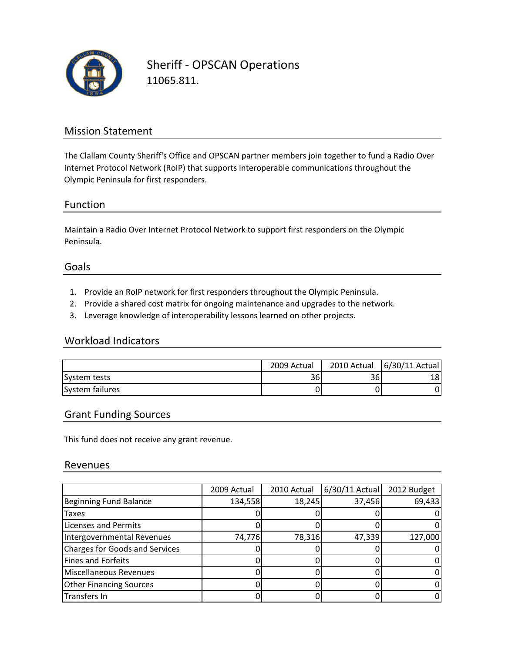

Sheriff ‐ OPSCAN Operations 11065.811.

### Mission Statement

The Clallam County Sheriff's Office and OPSCAN partner members join together to fund a Radio Over Internet Protocol Network (RoIP) that supports interoperable communications throughout the Olympic Peninsula for first responders.

#### Function

Maintain a Radio Over Internet Protocol Network to support first responders on the Olympic Peninsula.

#### Goals

- 1. Provide an RoIP network for first responders throughout the Olympic Peninsula.
- 2. Provide a shared cost matrix for ongoing maintenance and upgrades to the network.
- 3. Leverage knowledge of interoperability lessons learned on other projects.

#### Workload Indicators

|                 | 2009 Actual | 2010 Actual | 6/30/11 Actual |
|-----------------|-------------|-------------|----------------|
| System tests    | 36          | 361         | 18             |
| System failures |             |             | 0              |

#### Grant Funding Sources

This fund does not receive any grant revenue.

#### Revenues

|                                | 2009 Actual | 2010 Actual | $6/30/11$ Actual | 2012 Budget |
|--------------------------------|-------------|-------------|------------------|-------------|
| Beginning Fund Balance         | 134,558     | 18,245      | 37,456           | 69,433      |
| Taxes                          |             |             |                  | 0           |
| <b>Licenses and Permits</b>    |             |             |                  | 0           |
| Intergovernmental Revenues     | 74,776      | 78,316      | 47,339           | 127,000     |
| Charges for Goods and Services |             |             |                  | 0           |
| Fines and Forfeits             |             |             |                  | 0           |
| Miscellaneous Revenues         |             |             |                  | 0           |
| <b>Other Financing Sources</b> |             |             |                  | 0           |
| Transfers In                   |             |             |                  | 0           |